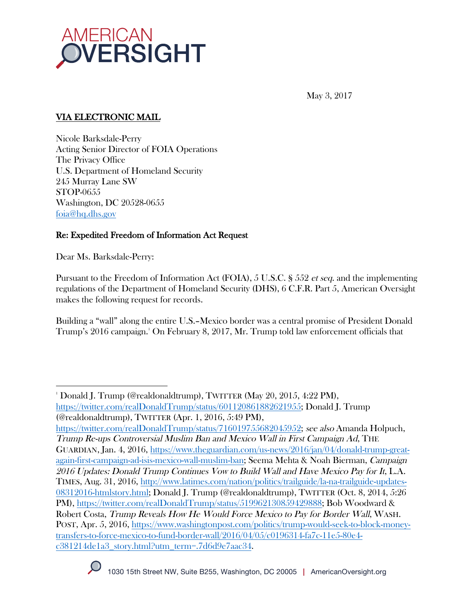

May 3, 2017

# VIA ELECTRONIC MAIL

Nicole Barksdale-Perry Acting Senior Director of FOIA Operations The Privacy Office U.S. Department of Homeland Security 245 Murray Lane SW STOP-0655 Washington, DC 20528-0655 foia@hq.dhs.gov

# Re: Expedited Freedom of Information Act Request

Dear Ms. Barksdale-Perry:

 

Pursuant to the Freedom of Information Act (FOIA), 5 U.S.C. § 552 et seq. and the implementing regulations of the Department of Homeland Security (DHS), 6 C.F.R. Part 5, American Oversight makes the following request for records.

Building a "wall" along the entire U.S.–Mexico border was a central promise of President Donald Trump's 2016 campaign.1 On February 8, 2017, Mr. Trump told law enforcement officials that

https://twitter.com/realDonaldTrump/status/716019755682045952; see also Amanda Holpuch, Trump Re-ups Controversial Muslim Ban and Mexico Wall in First Campaign Ad, THE GUARDIAN, Jan. 4, 2016, https://www.theguardian.com/us-news/2016/jan/04/donald-trump-greatagain-first-campaign-ad-isis-mexico-wall-muslim-ban; Seema Mehta & Noah Bierman, Campaign 2016 Updates: Donald Trump Continues Vow to Build Wall and Have Mexico Pay for It, L.A. TIMES, Aug. 31, 2016, http://www.latimes.com/nation/politics/trailguide/la-na-trailguide-updates-08312016-htmlstory.html; Donald J. Trump (@realdonaldtrump), TWITTER (Oct. 8, 2014, 5:26 PM), https://twitter.com/realDonaldTrump/status/519962130859429888; Bob Woodward & Robert Costa, Trump Reveals How He Would Force Mexico to Pay for Border Wall, WASH. POST, Apr. 5, 2016, https://www.washingtonpost.com/politics/trump-would-seek-to-block-moneytransfers-to-force-mexico-to-fund-border-wall/2016/04/05/c0196314-fa7c-11e5-80e4 c381214de1a3\_story.html?utm\_term=.7d6d9e7aac34.



 $^{\textrm{\tiny{\rm{1}}}}$  Donald J. Trump (@realdonaldtrump), TWITTER (May 20, 2015, 4:22 PM), https://twitter.com/realDonaldTrump/status/601120861882621955; Donald J. Trump (@realdonaldtrump), TWITTER (Apr. 1, 2016, 5:49 PM),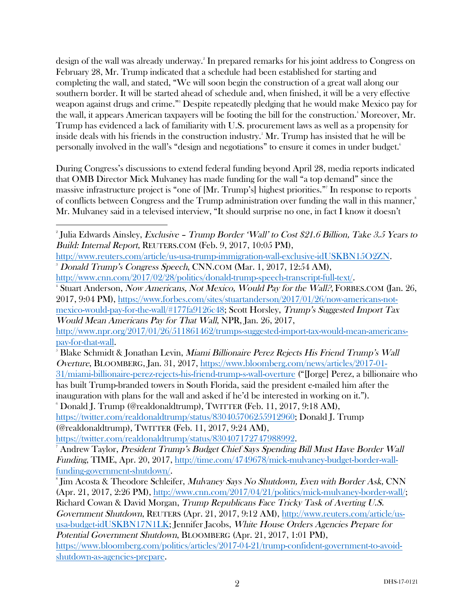design of the wall was already underway. 2 In prepared remarks for his joint address to Congress on February 28, Mr. Trump indicated that a schedule had been established for starting and completing the wall, and stated, "We will soon begin the construction of a great wall along our southern border. It will be started ahead of schedule and, when finished, it will be a very effective weapon against drugs and crime."3 Despite repeatedly pledging that he would make Mexico pay for the wall, it appears American taxpayers will be footing the bill for the construction.<sup>4</sup> Moreover, Mr. Trump has evidenced a lack of familiarity with U.S. procurement laws as well as a propensity for inside deals with his friends in the construction industry.5 Mr. Trump has insisted that he will be personally involved in the wall's "design and negotiations" to ensure it comes in under budget.6

During Congress's discussions to extend federal funding beyond April 28, media reports indicated that OMB Director Mick Mulvaney has made funding for the wall "a top demand" since the massive infrastructure project is "one of [Mr. Trump's] highest priorities."7 In response to reports of conflicts between Congress and the Trump administration over funding the wall in this manner, 8 Mr. Mulvaney said in a televised interview, "It should surprise no one, in fact I know it doesn't

http://www.cnn.com/2017/02/28/politics/donald-trump-speech-transcript-full-text/. 4

http://www.npr.org/2017/01/26/511861462/trumps-suggested-import-tax-would-mean-americanspay-for-that-wall. 5

 $\beta$  Blake Schmidt & Jonathan Levin, *Miami Billionaire Perez Rejects His Friend Trump's Wall* Overture, BLOOMBERG, Jan. 31, 2017, https://www.bloomberg.com/news/articles/2017-01- 31/miami-billionaire-perez-rejects-his-friend-trump-s-wall-overture ("[Jorge] Perez, a billionaire who has built Trump-branded towers in South Florida, said the president e-mailed him after the inauguration with plans for the wall and asked if he'd be interested in working on it.").  $\degree$  Donald J. Trump (@realdonaldtrump), TWITTER (Feb. 11, 2017, 9:18 AM),

https://twitter.com/realdonaldtrump/status/830405706255912960; Donald J. Trump (@realdonaldtrump), TWITTER (Feb. 11, 2017, 9:24 AM),

https://twitter.com/realdonaldtrump/status/830407172747988992.

<sup>8</sup> Jim Acosta & Theodore Schleifer, *Mulvaney Says No Shutdown, Even with Border Ask*, CNN (Apr. 21, 2017, 2:26 PM), http://www.cnn.com/2017/04/21/politics/mick-mulvaney-border-wall/; Richard Cowan & David Morgan, Trump Republicans Face Tricky Task of Averting U.S.

Government Shutdown, REUTERS (Apr. 21, 2017, 9:12 AM), http://www.reuters.com/article/ususa-budget-idUSKBN17N1LK; Jennifer Jacobs, White House Orders Agencies Prepare for

Potential Government Shutdown, BLOOMBERG (Apr. 21, 2017, 1:01 PM), https://www.bloomberg.com/politics/articles/2017-04-21/trump-confident-government-to-avoidshutdown-as-agencies-prepare.

  $^{\circ}$ Julia Edwards Ainsley, *Exclusive – Trump Border 'Wall' to Cost \$21.6 Billion, Take 3.5 Years to* Build: Internal Report, REUTERS.COM (Feb. 9, 2017, 10:05 PM),

http://www.reuters.com/article/us-usa-trump-immigration-wall-exclusive-idUSKBN15O2ZN. 3 Donald Trump's Congress Speech, CNN.COM (Mar. 1, 2017, 12:54 AM),

<sup>&</sup>lt;sup>4</sup> Stuart Anderson, *Now Americans, Not Mexico, Would Pay for the Wall?*, FORBES.COM (Jan. 26, 2017, 9:04 PM), https://www.forbes.com/sites/stuartanderson/2017/01/26/now-americans-notmexico-would-pay-for-the-wall/#177fa9126c48; Scott Horsley, Trump's Suggested Import Tax Would Mean Americans Pay for That Wall, NPR, Jan. 26, 2017,

<sup>&</sup>lt;sup>7</sup> Andrew Taylor, *President Trump's Budget Chief Says Spending Bill Must Have Border Wall* Funding, TIME, Apr. 20, 2017, http://time.com/4749678/mick-mulvaney-budget-border-wallfunding-government-shutdown/.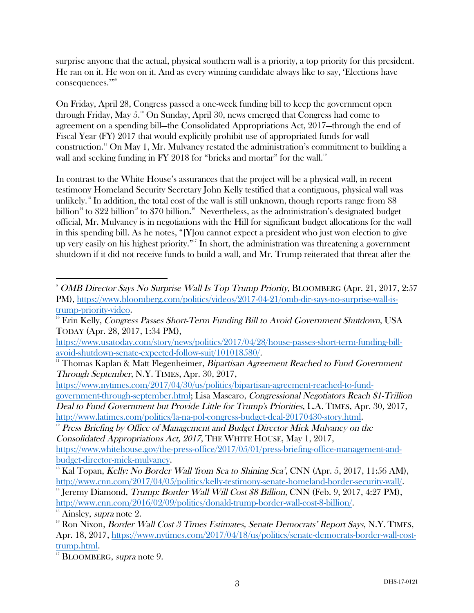surprise anyone that the actual, physical southern wall is a priority, a top priority for this president. He ran on it. He won on it. And as every winning candidate always like to say, 'Elections have consequences.'"9

On Friday, April 28, Congress passed a one-week funding bill to keep the government open through Friday, May 5.<sup>10</sup> On Sunday, April 30, news emerged that Congress had come to agreement on a spending bill—the Consolidated Appropriations Act, 2017—through the end of Fiscal Year (FY) 2017 that would explicitly prohibit use of appropriated funds for wall construction.11 On May 1, Mr. Mulvaney restated the administration's commitment to building a wall and seeking funding in FY 2018 for "bricks and mortar" for the wall.<sup>12</sup>

In contrast to the White House's assurances that the project will be a physical wall, in recent testimony Homeland Security Secretary John Kelly testified that a contiguous, physical wall was unlikely.<sup>13</sup> In addition, the total cost of the wall is still unknown, though reports range from \$8 billion<sup>14</sup> to \$22 billion<sup>15</sup> to \$70 billion.<sup>16</sup> Nevertheless, as the administration's designated budget official, Mr. Mulvaney is in negotiations with the Hill for significant budget allocations for the wall in this spending bill. As he notes, "[Y]ou cannot expect a president who just won election to give up very easily on his highest priority."<sup>17</sup> In short, the administration was threatening a government shutdown if it did not receive funds to build a wall, and Mr. Trump reiterated that threat after the

https://www.nytimes.com/2017/04/30/us/politics/bipartisan-agreement-reached-to-fundgovernment-through-september.html; Lisa Mascaro, Congressional Negotiators Reach \$1-Trillion Deal to Fund Government but Provide Little for Trump's Priorities, L.A. TIMES, Apr. 30, 2017, http://www.latimes.com/politics/la-na-pol-congress-budget-deal-20170430-story.html.

 $12$  Press Briefing by Office of Management and Budget Director Mick Mulvaney on the Consolidated Appropriations Act, 2017, THE WHITE HOUSE, May 1, 2017, https://www.whitehouse.gov/the-press-office/2017/05/01/press-briefing-office-management-and-

 9 OMB Director Says No Surprise Wall Is Top Trump Priority, BLOOMBERG (Apr. 21, 2017, 2:57 PM), https://www.bloomberg.com/politics/videos/2017-04-21/omb-dir-says-no-surprise-wall-is-

trump-priority-video.<br>
<sup>10</sup> Erin Kelly, *Congress Passes Short-Term Funding Bill to Avoid Government Shutdown*, USA TODAY (Apr. 28, 2017, 1:34 PM),

https://www.usatoday.com/story/news/politics/2017/04/28/house-passes-short-term-funding-billavoid-shutdown-senate-expected-follow-suit/101018580/.<br>
<sup>11</sup> Thomas Kaplan & Matt Flegenheimer, *Bipartisan Agreement Reached to Fund Government* 

Through September, N.Y. TIMES, Apr. 30, 2017,

budget-director-mick-mulvaney.<br><sup>13</sup> Kal Topan, *Kelly: No Border Wall 'from Sea to Shining Sea'*, CNN (Apr. 5, 2017, 11:56 AM),<br>http://www.cnn.com/2017/04/05/politics/kelly-testimony-senate-homeland-border-security-wall/.

<sup>&</sup>lt;sup>14</sup> Jeremy Diamond, *Trump: Border Wall Will Cost \$8 Billion*, CNN (Feb. 9, 2017, 4:27 PM), http://www.cnn.com/2016/02/09/politics/donald-trump-border-wall-cost-8-billion/.<br><sup>15</sup> Ainsley, *supra* note 2.

 $16$  Ron Nixon, *Border Wall Cost 3 Times Estimates, Senate Democrats' Report Says, N.Y.* TIMES, Apr. 18, 2017, https://www.nytimes.com/2017/04/18/us/politics/senate-democrats-border-wall-costtrump.html.<br><sup>17</sup> BLOOMBERG, *supra* note 9.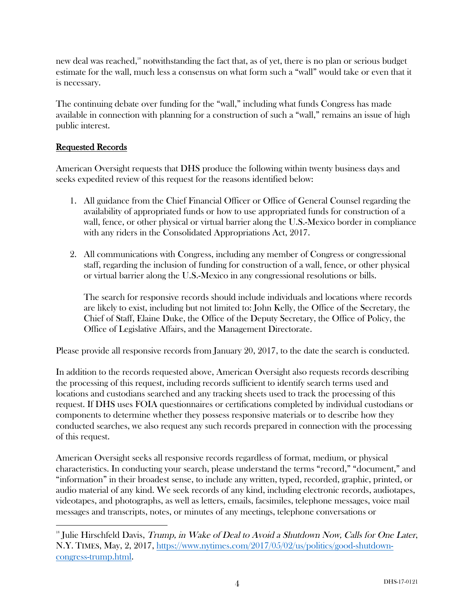new deal was reached,<sup>18</sup> notwithstanding the fact that, as of yet, there is no plan or serious budget estimate for the wall, much less a consensus on what form such a "wall" would take or even that it is necessary.

The continuing debate over funding for the "wall," including what funds Congress has made available in connection with planning for a construction of such a "wall," remains an issue of high public interest.

#### Requested Records

 

American Oversight requests that DHS produce the following within twenty business days and seeks expedited review of this request for the reasons identified below:

- 1. All guidance from the Chief Financial Officer or Office of General Counsel regarding the availability of appropriated funds or how to use appropriated funds for construction of a wall, fence, or other physical or virtual barrier along the U.S.-Mexico border in compliance with any riders in the Consolidated Appropriations Act, 2017.
- 2. All communications with Congress, including any member of Congress or congressional staff, regarding the inclusion of funding for construction of a wall, fence, or other physical or virtual barrier along the U.S.-Mexico in any congressional resolutions or bills.

The search for responsive records should include individuals and locations where records are likely to exist, including but not limited to: John Kelly, the Office of the Secretary, the Chief of Staff, Elaine Duke, the Office of the Deputy Secretary, the Office of Policy, the Office of Legislative Affairs, and the Management Directorate.

Please provide all responsive records from January 20, 2017, to the date the search is conducted.

In addition to the records requested above, American Oversight also requests records describing the processing of this request, including records sufficient to identify search terms used and locations and custodians searched and any tracking sheets used to track the processing of this request. If DHS uses FOIA questionnaires or certifications completed by individual custodians or components to determine whether they possess responsive materials or to describe how they conducted searches, we also request any such records prepared in connection with the processing of this request.

American Oversight seeks all responsive records regardless of format, medium, or physical characteristics. In conducting your search, please understand the terms "record," "document," and "information" in their broadest sense, to include any written, typed, recorded, graphic, printed, or audio material of any kind. We seek records of any kind, including electronic records, audiotapes, videotapes, and photographs, as well as letters, emails, facsimiles, telephone messages, voice mail messages and transcripts, notes, or minutes of any meetings, telephone conversations or

<sup>&</sup>lt;sup>18</sup> Julie Hirschfeld Davis, Trump, in Wake of Deal to Avoid a Shutdown Now, Calls for One Later, N.Y. TIMES, May, 2, 2017, https://www.nytimes.com/2017/05/02/us/politics/good-shutdowncongress-trump.html.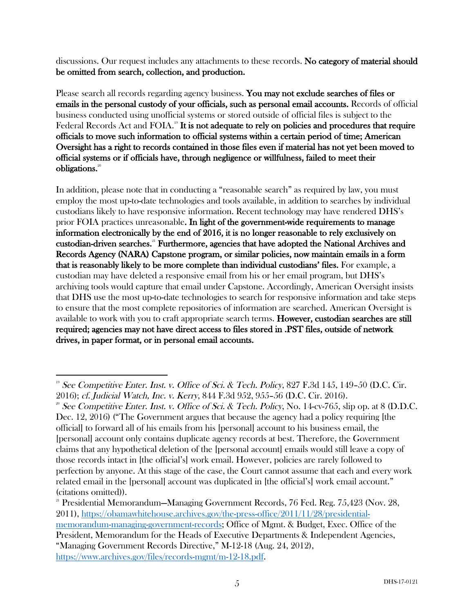discussions. Our request includes any attachments to these records. No category of material should be omitted from search, collection, and production.

Please search all records regarding agency business. You may not exclude searches of files or emails in the personal custody of your officials, such as personal email accounts. Records of official business conducted using unofficial systems or stored outside of official files is subject to the Federal Records Act and FOIA.<sup>19</sup> It is not adequate to rely on policies and procedures that require officials to move such information to official systems within a certain period of time; American Oversight has a right to records contained in those files even if material has not yet been moved to official systems or if officials have, through negligence or willfulness, failed to meet their obligations.<sup>20</sup>

In addition, please note that in conducting a "reasonable search" as required by law, you must employ the most up-to-date technologies and tools available, in addition to searches by individual custodians likely to have responsive information. Recent technology may have rendered DHS's prior FOIA practices unreasonable. In light of the government-wide requirements to manage information electronically by the end of 2016, it is no longer reasonable to rely exclusively on custodian-driven searches.21 Furthermore, agencies that have adopted the National Archives and Records Agency (NARA) Capstone program, or similar policies, now maintain emails in a form that is reasonably likely to be more complete than individual custodians' files. For example, a custodian may have deleted a responsive email from his or her email program, but DHS's archiving tools would capture that email under Capstone. Accordingly, American Oversight insists that DHS use the most up-to-date technologies to search for responsive information and take steps to ensure that the most complete repositories of information are searched. American Oversight is available to work with you to craft appropriate search terms. However, custodian searches are still required; agencies may not have direct access to files stored in .PST files, outside of network drives, in paper format, or in personal email accounts.

https://www.archives.gov/files/records-mgmt/m-12-18.pdf.

 <sup>19</sup> See Competitive Enter. Inst. v. Office of Sci. & Tech. Policy, 827 F.3d 145, 149-50 (D.C. Cir. 2016); cf. Judicial Watch, Inc. v. Kerry, 844 F.3d 952, 955–56 (D.C. Cir. 2016).<br><sup>20</sup> See Competitive Enter. Inst. v. Office of Sci. & Tech. Policy, No. 14-cv-765, slip op. at 8 (D.D.C.

Dec. 12, 2016) ("The Government argues that because the agency had a policy requiring [the official] to forward all of his emails from his [personal] account to his business email, the [personal] account only contains duplicate agency records at best. Therefore, the Government claims that any hypothetical deletion of the [personal account] emails would still leave a copy of those records intact in [the official's] work email. However, policies are rarely followed to perfection by anyone. At this stage of the case, the Court cannot assume that each and every work related email in the [personal] account was duplicated in [the official's] work email account." (citations omitted)).

<sup>21</sup> Presidential Memorandum—Managing Government Records, 76 Fed. Reg. 75,423 (Nov. 28, 2011), https://obamawhitehouse.archives.gov/the-press-office/2011/11/28/presidentialmemorandum-managing-government-records; Office of Mgmt. & Budget, Exec. Office of the President, Memorandum for the Heads of Executive Departments & Independent Agencies,

<sup>&</sup>quot;Managing Government Records Directive," M-12-18 (Aug. 24, 2012),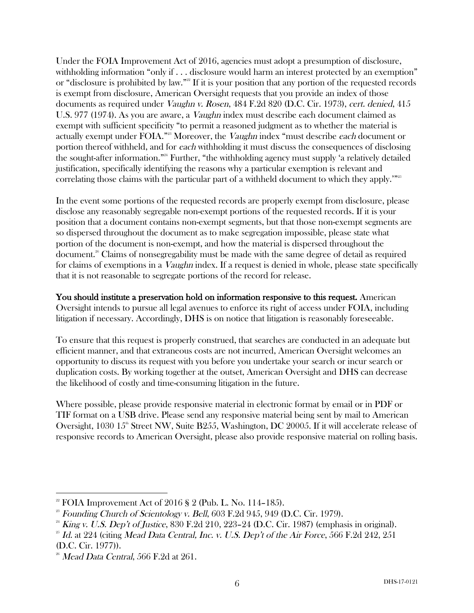Under the FOIA Improvement Act of 2016, agencies must adopt a presumption of disclosure, withholding information "only if . . . disclosure would harm an interest protected by an exemption" or "disclosure is prohibited by law."<sup>22</sup> If it is your position that any portion of the requested records is exempt from disclosure, American Oversight requests that you provide an index of those documents as required under Vaughn v. Rosen, 484 F.2d 820 (D.C. Cir. 1973), cert. denied, 415 U.S. 977 (1974). As you are aware, a Vaughn index must describe each document claimed as exempt with sufficient specificity "to permit a reasoned judgment as to whether the material is actually exempt under FOIA."<sup>23</sup> Moreover, the *Vaughn* index "must describe each document or portion thereof withheld, and for each withholding it must discuss the consequences of disclosing the sought-after information."24 Further, "the withholding agency must supply 'a relatively detailed justification, specifically identifying the reasons why a particular exemption is relevant and correlating those claims with the particular part of a withheld document to which they apply.'"<sup>25</sup>

In the event some portions of the requested records are properly exempt from disclosure, please disclose any reasonably segregable non-exempt portions of the requested records. If it is your position that a document contains non-exempt segments, but that those non-exempt segments are so dispersed throughout the document as to make segregation impossible, please state what portion of the document is non-exempt, and how the material is dispersed throughout the document.26 Claims of nonsegregability must be made with the same degree of detail as required for claims of exemptions in a *Vaughn* index. If a request is denied in whole, please state specifically that it is not reasonable to segregate portions of the record for release.

You should institute a preservation hold on information responsive to this request. American Oversight intends to pursue all legal avenues to enforce its right of access under FOIA, including litigation if necessary. Accordingly, DHS is on notice that litigation is reasonably foreseeable.

To ensure that this request is properly construed, that searches are conducted in an adequate but efficient manner, and that extraneous costs are not incurred, American Oversight welcomes an opportunity to discuss its request with you before you undertake your search or incur search or duplication costs. By working together at the outset, American Oversight and DHS can decrease the likelihood of costly and time-consuming litigation in the future.

Where possible, please provide responsive material in electronic format by email or in PDF or TIF format on a USB drive. Please send any responsive material being sent by mail to American Oversight, 1030  $15^{\circ}$  Street NW, Suite B255, Washington, DC 20005. If it will accelerate release of responsive records to American Oversight, please also provide responsive material on rolling basis.

  $2<sup>22</sup>$  FOIA Improvement Act of 2016 § 2 (Pub. L. No. 114–185).

 $2<sup>23</sup>$  Founding Church of Scientology v. Bell, 603 F.2d 945, 949 (D.C. Cir. 1979).

 $24$  King v. U.S. Dep't of Justice, 830 F.2d 210, 223–24 (D.C. Cir. 1987) (emphasis in original).

 $^{25}$  Id. at 224 (citing Mead Data Central, Inc. v. U.S. Dep't of the Air Force, 566 F.2d 242, 251 (D.C. Cir. 1977)).

 $26$  Mead Data Central, 566 F.2d at 261.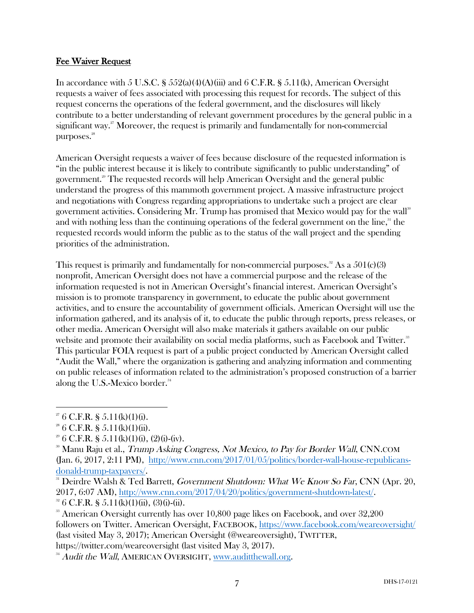## Fee Waiver Request

In accordance with 5 U.S.C. §  $552(a)(4)(A)(iii)$  and 6 C.F.R. §  $5.11(k)$ , American Oversight requests a waiver of fees associated with processing this request for records. The subject of this request concerns the operations of the federal government, and the disclosures will likely contribute to a better understanding of relevant government procedures by the general public in a significant way.<sup>27</sup> Moreover, the request is primarily and fundamentally for non-commercial purposes.<sup>28</sup>

American Oversight requests a waiver of fees because disclosure of the requested information is "in the public interest because it is likely to contribute significantly to public understanding" of government.<sup>29</sup> The requested records will help American Oversight and the general public understand the progress of this mammoth government project. A massive infrastructure project and negotiations with Congress regarding appropriations to undertake such a project are clear government activities. Considering Mr. Trump has promised that Mexico would pay for the wall<sup>30</sup> and with nothing less than the continuing operations of the federal government on the line,<sup>31</sup> the requested records would inform the public as to the status of the wall project and the spending priorities of the administration.

This request is primarily and fundamentally for non-commercial purposes.<sup>32</sup> As a  $501(c)(3)$ nonprofit, American Oversight does not have a commercial purpose and the release of the information requested is not in American Oversight's financial interest. American Oversight's mission is to promote transparency in government, to educate the public about government activities, and to ensure the accountability of government officials. American Oversight will use the information gathered, and its analysis of it, to educate the public through reports, press releases, or other media. American Oversight will also make materials it gathers available on our public website and promote their availability on social media platforms, such as Facebook and Twitter.<sup>33</sup> This particular FOIA request is part of a public project conducted by American Oversight called "Audit the Wall," where the organization is gathering and analyzing information and commenting on public releases of information related to the administration's proposed construction of a barrier along the U.S.-Mexico border.<sup>34</sup>

 

 $27/27$  6 C.F.R. § 5.11(k)(1)(i).

 $2^8$  6 C.F.R. § 5.11(k)(1)(ii).

 $2^9$  6 C.F.R. § 5.11(k)(1)(i), (2)(i)-(iv).

<sup>&</sup>lt;sup>30</sup> Manu Raju et al., *Trump Asking Congress, Not Mexico, to Pay for Border Wall*, CNN.COM (Jan. 6, 2017, 2:11 PM), http://www.cnn.com/2017/01/05/politics/border-wall-house-republicansdonald-trump-taxpayers/.

 $31$  Deirdre Walsh & Ted Barrett, Government Shutdown: What We Know So Far, CNN (Apr. 20, 2017, 6:07 AM), http://www.cnn.com/2017/04/20/politics/government-shutdown-latest/. <sup>32</sup> 6 C.F.R. § 5.11(k)(1)(ii), (3)(i)-(ii).

<sup>&</sup>lt;sup>33</sup> American Oversight currently has over  $10,800$  page likes on Facebook, and over  $32,200$ followers on Twitter. American Oversight, FACEBOOK, https://www.facebook.com/weareoversight/ (last visited May 3, 2017); American Oversight (@weareoversight), TWITTER, https://twitter.com/weareoversight (last visited May 3, 2017).

<sup>&</sup>lt;sup>34</sup> Audit the Wall, AMERICAN OVERSIGHT, www.auditthewall.org.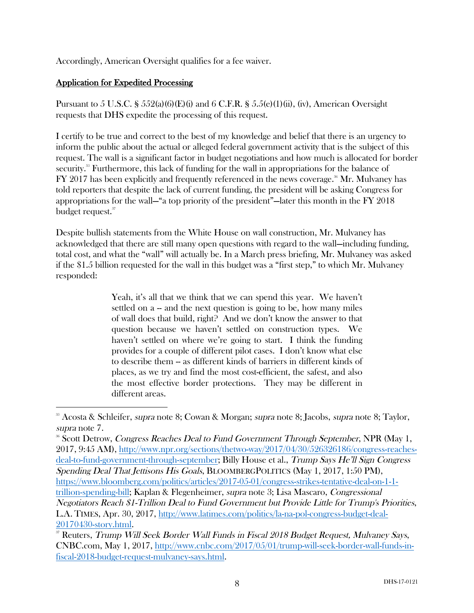Accordingly, American Oversight qualifies for a fee waiver.

#### Application for Expedited Processing

 

Pursuant to 5 U.S.C. §  $552(a)(6)(E)(i)$  and 6 C.F.R. §  $5.5(e)(1)(ii)$ , (iv), American Oversight requests that DHS expedite the processing of this request.

I certify to be true and correct to the best of my knowledge and belief that there is an urgency to inform the public about the actual or alleged federal government activity that is the subject of this request. The wall is a significant factor in budget negotiations and how much is allocated for border security. <sup>35</sup> Furthermore, this lack of funding for the wall in appropriations for the balance of  $FY$  2017 has been explicitly and frequently referenced in the news coverage.<sup>36</sup> Mr. Mulvaney has told reporters that despite the lack of current funding, the president will be asking Congress for appropriations for the wall—"a top priority of the president"—later this month in the FY 2018 budget request.<sup>37</sup>

Despite bullish statements from the White House on wall construction, Mr. Mulvaney has acknowledged that there are still many open questions with regard to the wall—including funding, total cost, and what the "wall" will actually be. In a March press briefing, Mr. Mulvaney was asked if the \$1.5 billion requested for the wall in this budget was a "first step," to which Mr. Mulvaney responded:

> Yeah, it's all that we think that we can spend this year. We haven't settled on a – and the next question is going to be, how many miles of wall does that build, right? And we don't know the answer to that question because we haven't settled on construction types. We haven't settled on where we're going to start. I think the funding provides for a couple of different pilot cases. I don't know what else to describe them -- as different kinds of barriers in different kinds of places, as we try and find the most cost-efficient, the safest, and also the most effective border protections. They may be different in different areas.

<sup>&</sup>lt;sup>35</sup> Acosta & Schleifer, *supra* note 8; Cowan & Morgan; *supra* note 8; Jacobs, *supra* note 8; Taylor, supra note 7.

<sup>36</sup> Scott Detrow, Congress Reaches Deal to Fund Government Through September, NPR (May 1, 2017, 9:45 AM), http://www.npr.org/sections/thetwo-way/2017/04/30/526326186/congress-reachesdeal-to-fund-government-through-september; Billy House et al., Trump Says He'll Sign Congress Spending Deal That Jettisons His Goals, BLOOMBERGPOLITICS (May 1, 2017, 1:50 PM), https://www.bloomberg.com/politics/articles/2017-05-01/congress-strikes-tentative-deal-on-1-1 trillion-spending-bill; Kaplan & Flegenheimer, supra note 3; Lisa Mascaro, Congressional Negotiators Reach \$1-Trillion Deal to Fund Government but Provide Little for Trump's Priorities, L.A. TIMES, Apr. 30, 2017, http://www.latimes.com/politics/la-na-pol-congress-budget-deal-20170430-story.html.<br><sup>37</sup> Reuters, *Trump Will Seek Border Wall Funds in Fiscal 2018 Budget Request, Mulvaney Says,* 

CNBC.com, May 1, 2017, http://www.cnbc.com/2017/05/01/trump-will-seek-border-wall-funds-infiscal-2018-budget-request-mulvaney-says.html.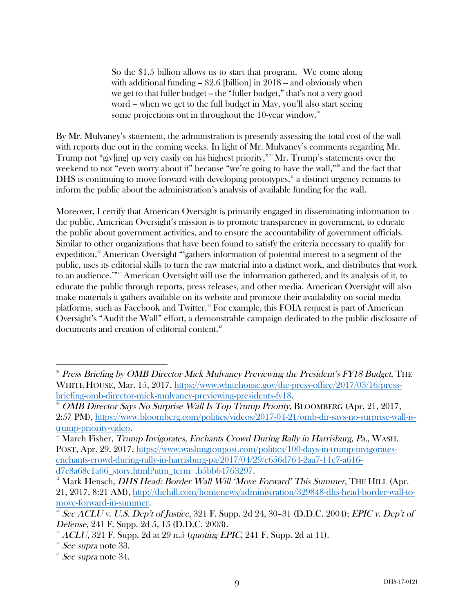So the \$1.5 billion allows us to start that program. We come along with additional funding  $-$  \$2.6 [billion] in 2018  $-$  and obviously when we get to that fuller budget -- the "fuller budget," that's not a very good word -- when we get to the full budget in May, you'll also start seeing some projections out in throughout the 10-year window.<sup>38</sup>

By Mr. Mulvaney's statement, the administration is presently assessing the total cost of the wall with reports due out in the coming weeks. In light of Mr. Mulvaney's comments regarding Mr. Trump not "giv[ing] up very easily on his highest priority," <sup>39</sup> Mr. Trump's statements over the weekend to not "even worry about it" because "we're going to have the wall,"<sup>40</sup> and the fact that DHS is continuing to move forward with developing prototypes,<sup>41</sup> a distinct urgency remains to inform the public about the administration's analysis of available funding for the wall.

Moreover, I certify that American Oversight is primarily engaged in disseminating information to the public. American Oversight's mission is to promote transparency in government, to educate the public about government activities, and to ensure the accountability of government officials. Similar to other organizations that have been found to satisfy the criteria necessary to qualify for expedition,<sup>42</sup> American Oversight "'gathers information of potential interest to a segment of the public, uses its editorial skills to turn the raw material into a distinct work, and distributes that work to an audience."<sup>343</sup> American Oversight will use the information gathered, and its analysis of it, to educate the public through reports, press releases, and other media. American Oversight will also make materials it gathers available on its website and promote their availability on social media platforms, such as Facebook and Twitter.<sup>44</sup> For example, this FOIA request is part of American Oversight's "Audit the Wall" effort, a demonstrable campaign dedicated to the public disclosure of documents and creation of editorial content.<sup>45</sup>

 

<sup>&</sup>lt;sup>38</sup> Press Briefing by OMB Director Mick Mulvaney Previewing the President's FY18 Budget, THE WHITE HOUSE, Mar. 15, 2017, https://www.whitehouse.gov/the-press-office/2017/03/16/press-<br>briefing-omb-director-mick-mulvaney-previewing-presidents-fy18.

<sup>&</sup>lt;sup>39</sup> OMB Director-Says No Surprise Wall Is Top Trump Priority, BLOOMBERG (Apr. 21, 2017, 2:57 PM), https://www.bloomberg.com/politics/videos/2017-04-21/omb-dir-says-no-surprise-wall-istrump-priority-video.

<sup>&</sup>lt;sup>40</sup> March Fisher, *Trump Invigorates, Enchants Crowd During Rally in Harrisburg, Pa.*, WASH. POST, Apr. 29, 2017, https://www.washingtonpost.com/politics/100-days-in-trump-invigoratesenchants-crowd-during-rally-in-harrisburg-pa/2017/04/29/c656d764-2aa7-11e7-a616-

d7c8a68c1a66\_story.html?utm\_term=.b5bb64763297.<br><sup>41</sup> Mark Hensch, *DHS Head: Border Wall Will 'Move Forward' This Summer*, THE HILL (Apr. 21, 2017, 8:21 AM), http://thehill.com/homenews/administration/329848-dhs-head-border-wall-tomove-forward-in-summer.<br><sup>42</sup> See ACLU v. U.S. Dep't of Justice, 321 F. Supp. 2d 24, 30–31 (D.D.C. 2004); EPIC v. Dep't of

Defense, 241 F. Supp. 2d 5, 15 (D.D.C. 2003).

 $^{43}$  ACLU, 321 F. Supp. 2d at 29 n.5 (quoting EPIC, 241 F. Supp. 2d at 11).

 $44$  See supra note 33.

 $45$  See supra note 34.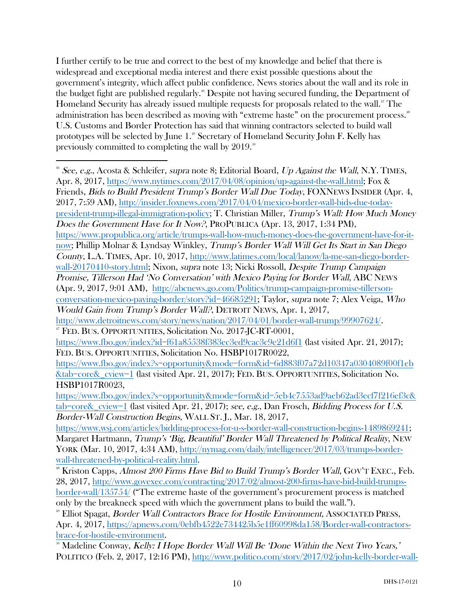I further certify to be true and correct to the best of my knowledge and belief that there is widespread and exceptional media interest and there exist possible questions about the government's integrity, which affect public confidence. News stories about the wall and its role in the budget fight are published regularly.<sup>®</sup> Despite not having secured funding, the Department of Homeland Security has already issued multiple requests for proposals related to the wall. <sup>47</sup> The administration has been described as moving with "extreme haste" on the procurement process.<sup>48</sup> U.S. Customs and Border Protection has said that winning contractors selected to build wall prototypes will be selected by June 1.<sup>49</sup> Secretary of Homeland Security John F. Kelly has previously committed to completing the wall by  $2019.^{50}$ 

 <sup>46</sup> See, e.g., Acosta & Schleifer, supra note 8; Editorial Board, Up Against the Wall, N.Y. TIMES, Apr. 8, 2017, https://www.nytimes.com/2017/04/08/opinion/up-against-the-wall.html; Fox & Friends, Bids to Build President Trump's Border Wall Due Today, FOXNEWS INSIDER (Apr. 4, 2017, 7:59 AM), http://insider.foxnews.com/2017/04/04/mexico-border-wall-bids-due-todaypresident-trump-illegal-immigration-policy; T. Christian Miller, Trump's Wall: How Much Money Does the Government Have for It Now?, PROPUBLICA (Apr. 13, 2017, 1:34 PM), https://www.propublica.org/article/trumps-wall-how-much-money-does-the-government-have-for-itnow; Phillip Molnar & Lyndsay Winkley, Trump's Border Wall Will Get Its Start in San Diego County, L.A. TIMES, Apr. 10, 2017, http://www.latimes.com/local/lanow/la-me-san-diego-borderwall-20170410-story.html; Nixon, supra note 13; Nicki Rossoll, Despite Trump Campaign Promise, Tillerson Had 'No Conversation' with Mexico Paying for Border Wall, ABC NEWS (Apr. 9, 2017, 9:01 AM), http://abcnews.go.com/Politics/trump-campaign-promise-tillersonconversation-mexico-paying-border/story?id=46685291; Taylor, supra note 7; Alex Veiga, Who Would Gain from Trump's Border Wall?, DETROIT NEWS, Apr. 1, 2017, http://www.detroitnews.com/story/news/nation/2017/04/01/border-wall-trump/99907624/.

<sup>47</sup> FED. BUS. OPPORTUNITIES, Solicitation No. 2017-JC-RT-0001,

https://www.fbo.gov/index?id=f61a85538f383ec3ed9cac3c9e21d6f1 (last visited Apr. 21, 2017); FED. BUS. OPPORTUNITIES, Solicitation No. HSBP1017R0022,

https://www.fbo.gov/index?s=opportunity&mode=form&id=6d883f07a72d10347a0304089f00f1eb &tab=core&\_cview=1 (last visited Apr. 21, 2017); FED. BUS. OPPORTUNITIES, Solicitation No. HSBP1017R0023,

https://www.fbo.gov/index?s=opportunity&mode=form&id=5eb4c7553ad9aeb62ad3ecf7f216ef3c& tab=core&\_cview=1 (last visited Apr. 21, 2017); see, e.g., Dan Frosch, Bidding Process for U.S. Border-Wall Construction Begins, WALL ST. J., Mar. 18, 2017,

https://www.wsj.com/articles/bidding-process-for-u-s-border-wall-construction-begins-1489869241; Margaret Hartmann, Trump's 'Big, Beautiful' Border Wall Threatened by Political Reality, NEW YORK (Mar. 10, 2017, 4:34 AM), http://nymag.com/daily/intelligencer/2017/03/trumps-borderwall-threatened-by-political-reality.html.

<sup>&</sup>lt;sup>48</sup> Kriston Capps, *Almost 200 Firms Have Bid to Build Trump's Border Wall*, GOV'T EXEC., Feb. 28, 2017, http://www.govexec.com/contracting/2017/02/almost-200-firms-have-bid-build-trumpsborder-wall/135754/ ("The extreme haste of the government's procurement process is matched only by the breakneck speed with which the government plans to build the wall.").

 $\degree$  Elliot Spagat, *Border Wall Contractors Brace for Hostile Environment*, ASSOCIATED PRESS, Apr. 4, 2017, https://apnews.com/0ebfb4522e734425b5e1ff60998da158/Border-wall-contractorsbrace-for-hostile-environment.<br><sup>50</sup> Madeline Conway, *Kelly: I Hope Border Wall Will Be 'Done Within the Next Two Years,'* 

POLITICO (Feb. 2, 2017, 12:16 PM), http://www.politico.com/story/2017/02/john-kelly-border-wall-